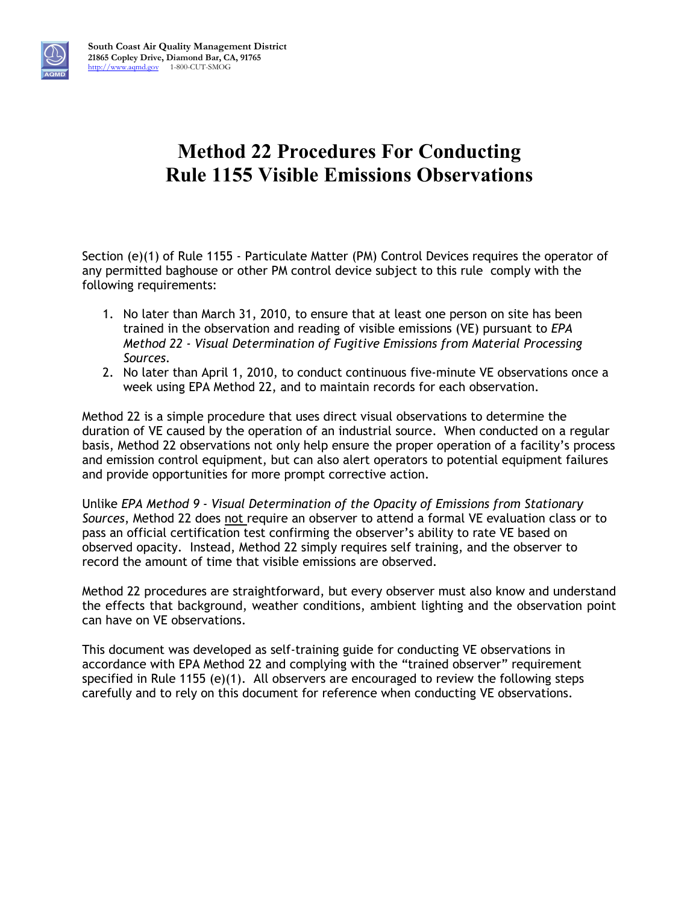

# **Method 22 Procedures For Conducting Rule 1155 Visible Emissions Observations**

Section (e)(1) of Rule 1155 - Particulate Matter (PM) Control Devices requires the operator of any permitted baghouse or other PM control device subject to this rule comply with the following requirements:

- 1. No later than March 31, 2010, to ensure that at least one person on site has been trained in the observation and reading of visible emissions (VE) pursuant to *EPA Method 22 - Visual Determination of Fugitive Emissions from Material Processing Sources*.
- 2. No later than April 1, 2010, to conduct continuous five-minute VE observations once a week using EPA Method 22, and to maintain records for each observation.

Method 22 is a simple procedure that uses direct visual observations to determine the duration of VE caused by the operation of an industrial source. When conducted on a regular basis, Method 22 observations not only help ensure the proper operation of a facility's process and emission control equipment, but can also alert operators to potential equipment failures and provide opportunities for more prompt corrective action.

Unlike *EPA Method 9 - Visual Determination of the Opacity of Emissions from Stationary Sources*, Method 22 does not require an observer to attend a formal VE evaluation class or to pass an official certification test confirming the observer's ability to rate VE based on observed opacity. Instead, Method 22 simply requires self training, and the observer to record the amount of time that visible emissions are observed.

Method 22 procedures are straightforward, but every observer must also know and understand the effects that background, weather conditions, ambient lighting and the observation point can have on VE observations.

This document was developed as self-training guide for conducting VE observations in accordance with EPA Method 22 and complying with the "trained observer" requirement specified in Rule 1155 (e)(1). All observers are encouraged to review the following steps carefully and to rely on this document for reference when conducting VE observations.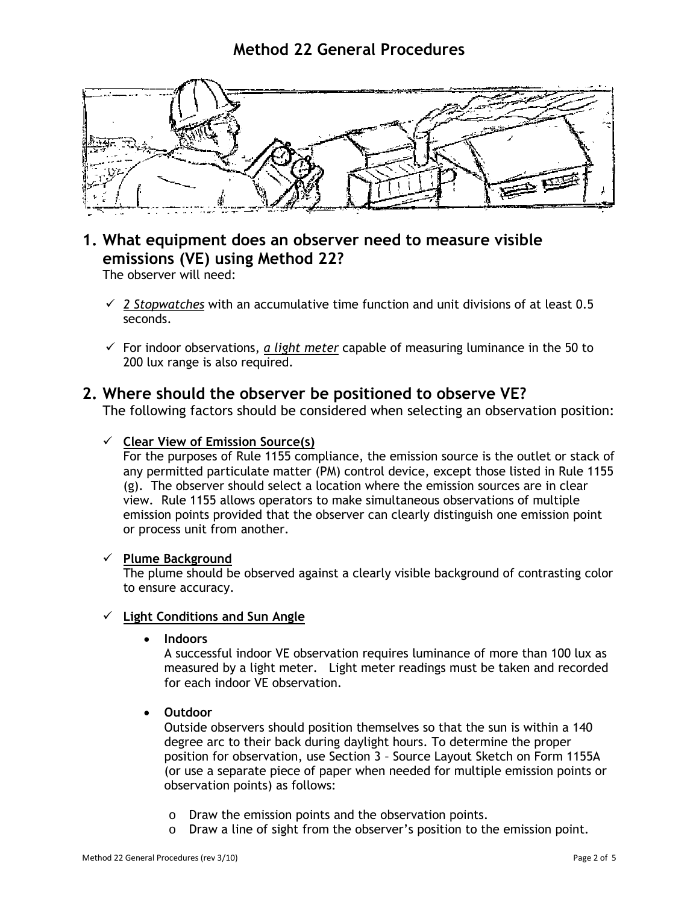### **Method 22 General Procedures**



### **1. What equipment does an observer need to measure visible emissions (VE) using Method 22?**

The observer will need:

- *2 Stopwatches* with an accumulative time function and unit divisions of at least 0.5 seconds.
- $\checkmark$  For indoor observations, *a light meter* capable of measuring luminance in the 50 to 200 lux range is also required.

### **2. Where should the observer be positioned to observe VE?**

The following factors should be considered when selecting an observation position:

#### **Clear View of Emission Source(s)**

For the purposes of Rule 1155 compliance, the emission source is the outlet or stack of any permitted particulate matter (PM) control device, except those listed in Rule 1155 (g). The observer should select a location where the emission sources are in clear view. Rule 1155 allows operators to make simultaneous observations of multiple emission points provided that the observer can clearly distinguish one emission point or process unit from another.

#### **Plume Background**

The plume should be observed against a clearly visible background of contrasting color to ensure accuracy.

#### **Light Conditions and Sun Angle**

• **Indoors** 

A successful indoor VE observation requires luminance of more than 100 lux as measured by a light meter. Light meter readings must be taken and recorded for each indoor VE observation.

• **Outdoor** 

Outside observers should position themselves so that the sun is within a 140 degree arc to their back during daylight hours. To determine the proper position for observation, use Section 3 – Source Layout Sketch on Form 1155A (or use a separate piece of paper when needed for multiple emission points or observation points) as follows:

- o Draw the emission points and the observation points.
- o Draw a line of sight from the observer's position to the emission point.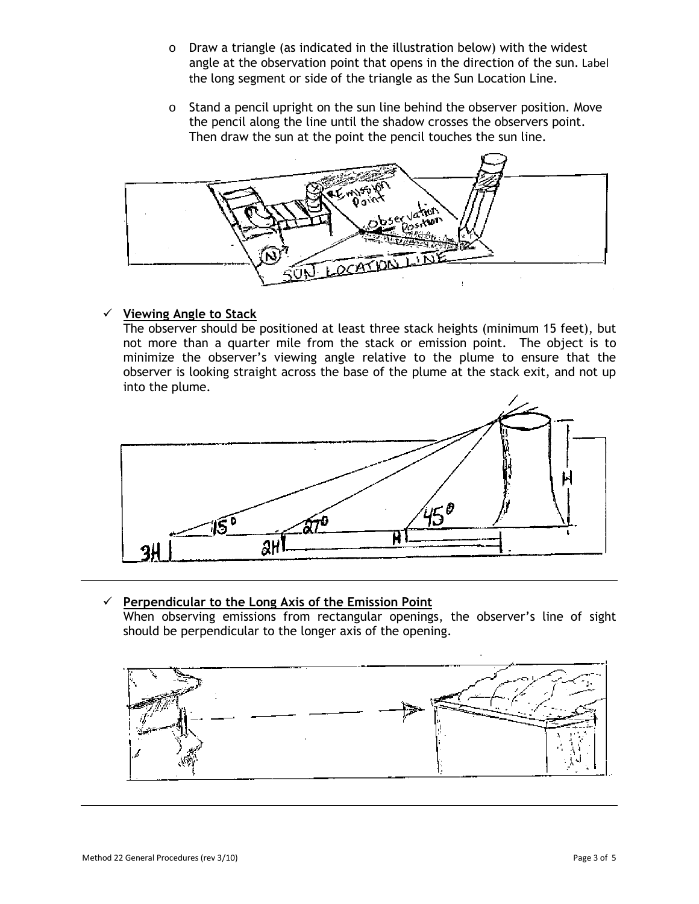- o Draw a triangle (as indicated in the illustration below) with the widest angle at the observation point that opens in the direction of the sun. Label the long segment or side of the triangle as the Sun Location Line.
- o Stand a pencil upright on the sun line behind the observer position. Move the pencil along the line until the shadow crosses the observers point. Then draw the sun at the point the pencil touches the sun line.



#### **Viewing Angle to Stack**

The observer should be positioned at least three stack heights (minimum 15 feet), but not more than a quarter mile from the stack or emission point. The object is to minimize the observer's viewing angle relative to the plume to ensure that the observer is looking straight across the base of the plume at the stack exit, and not up into the plume.



#### **Perpendicular to the Long Axis of the Emission Point**

When observing emissions from rectangular openings, the observer's line of sight should be perpendicular to the longer axis of the opening.

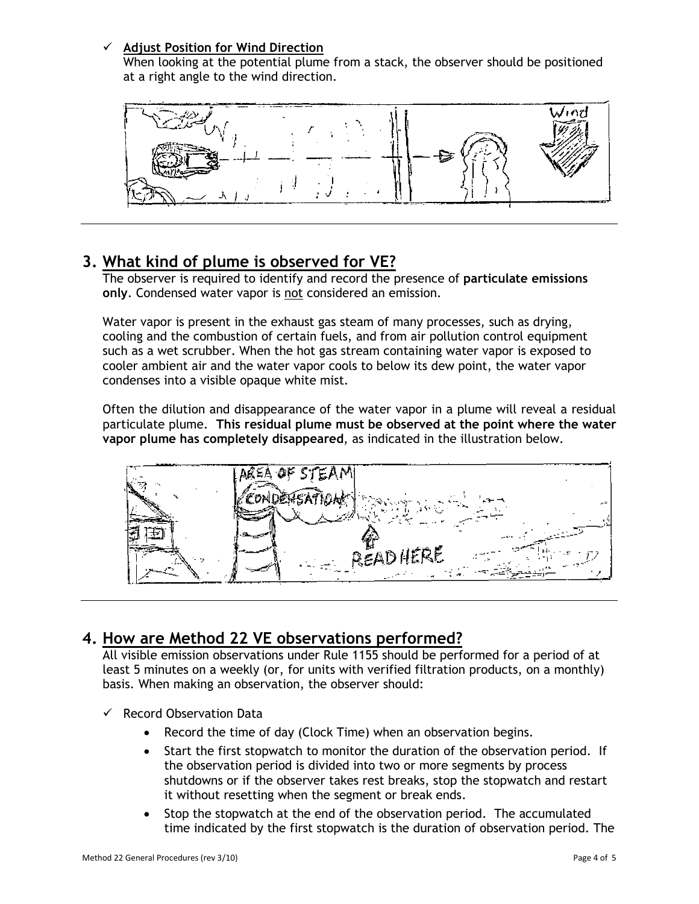#### **Adjust Position for Wind Direction**

When looking at the potential plume from a stack, the observer should be positioned at a right angle to the wind direction.



## **3. What kind of plume is observed for VE?**

The observer is required to identify and record the presence of **particulate emissions only**. Condensed water vapor is not considered an emission.

Water vapor is present in the exhaust gas steam of many processes, such as drying, cooling and the combustion of certain fuels, and from air pollution control equipment such as a wet scrubber. When the hot gas stream containing water vapor is exposed to cooler ambient air and the water vapor cools to below its dew point, the water vapor condenses into a visible opaque white mist.

Often the dilution and disappearance of the water vapor in a plume will reveal a residual particulate plume. **This residual plume must be observed at the point where the water vapor plume has completely disappeared**, as indicated in the illustration below.



### **4. How are Method 22 VE observations performed?**

All visible emission observations under Rule 1155 should be performed for a period of at least 5 minutes on a weekly (or, for units with verified filtration products, on a monthly) basis. When making an observation, the observer should:

- $\checkmark$  Record Observation Data
	- Record the time of day (Clock Time) when an observation begins.
	- Start the first stopwatch to monitor the duration of the observation period. If the observation period is divided into two or more segments by process shutdowns or if the observer takes rest breaks, stop the stopwatch and restart it without resetting when the segment or break ends.
	- Stop the stopwatch at the end of the observation period. The accumulated time indicated by the first stopwatch is the duration of observation period. The